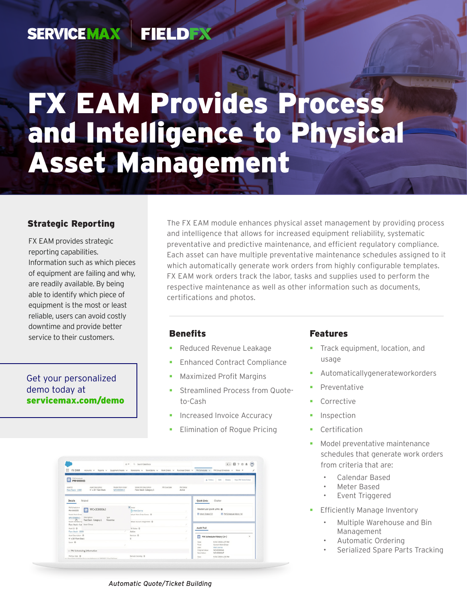#### **SERVICEMAX FIELDEX**

# FX EAM Provides Process and Intelligence to Physical Asset Management

#### Strategic Reporting

FX EAM provides strategic reporting capabilities. Information such as which pieces of equipment are failing and why, are readily available. By being able to identify which piece of equipment is the most or least reliable, users can avoid costly downtime and provide better service to their customers.

#### Get your personalized demo today at [servicemax.com/demo](http://servicemax.com/demo)

The FX EAM module enhances physical asset management by providing process and intelligence that allows for increased equipment reliability, systematic preventative and predictive maintenance, and efficient regulatory compliance. Each asset can have multiple preventative maintenance schedules assigned to it which automatically generate work orders from highly configurable templates. FX EAM work orders track the labor, tasks and supplies used to perform the respective maintenance as well as other information such as documents, certifications and photos.

#### **Benefits**

- Reduced Revenue Leakage
- Enhanced Contract Compliance
- Maximized Profit Margins
- **Streamlined Process from Quote**to-Cash
- Increased Invoice Accuracy
- Elimination of Rogue Pricing

|                                                                                                                                                                                                          | At w Q. Search Salesforce                                                                                                                     | ★ ■ ? ※ 4 图                                                                     |
|----------------------------------------------------------------------------------------------------------------------------------------------------------------------------------------------------------|-----------------------------------------------------------------------------------------------------------------------------------------------|---------------------------------------------------------------------------------|
| ⊞<br>FX EAM                                                                                                                                                                                              | Accounts v Reports v Equipment/Assets v Storenoms v StockBerns v Work-Orders v Purchase-Orders v IMI-Schedules v Mil-Oroup-Schedules v More W |                                                                                 |
| <b>PPD</b> PM Schedule<br>PM-000005                                                                                                                                                                      |                                                                                                                                               | Cole Dellete New PM Work Order<br>$+$ Follow                                    |
| Asset Description<br>Model Work Order<br>Asset ID<br>4" x 30" Flare Stack<br>Flare Stack - 1000<br>WO 0000063                                                                                            | Model WO Description<br>PM Due Date<br><b>PM Status</b><br>Action<br>Flare Stack - Category 1                                                 |                                                                                 |
| Related<br>Details                                                                                                                                                                                       |                                                                                                                                               | Quick Links<br>Chatter                                                          |
| PM Schedule #<br>$\sqrt{2}$ WO-0000043<br>PM-000005<br>Model Work Order<br>Description<br>Type<br>WO 0000043<br>Model Worberg<br>Flare Stack - Category 1<br>Preventive<br>Flare Stack - Cat Asset Group | X burser<br><b>Pa Matt Danna</b>                                                                                                              | Related List Quick Links @                                                      |
|                                                                                                                                                                                                          | Jefault Work Order Owner @                                                                                                                    | <sup>(2)</sup> PM Schedule History (4)<br>Work Orders (2)                       |
|                                                                                                                                                                                                          | Jefault Account Assignment @                                                                                                                  | $\mathcal{L}$                                                                   |
| Aust ID O<br>Flare Stark - 1000                                                                                                                                                                          | <b>Millaton</b> O<br>Active.                                                                                                                  | <b>Audit Trail</b>                                                              |
| Asset Description @<br>4" x 30" Flare Stack                                                                                                                                                              | Revision ®<br>$\alpha$                                                                                                                        | o<br>PM Schedule History (3+)<br>٠                                              |
| Soace O                                                                                                                                                                                                  |                                                                                                                                               | 9/11/2019 6:27 PM<br>Date<br>Fields<br>Current Work Order<br>User<br>Matt Ganna |
| v PM Scheduling Information                                                                                                                                                                              |                                                                                                                                               | Original Value:<br>WO-0000046<br>New Value:<br>WO 0000047                       |
| PM Due Date @<br>and Physiophisms bottowns from com Architectural (417400001720 confabi Avenue                                                                                                           | Exclude Saturday ®                                                                                                                            | 9/11/2019 4:23 PM<br>Date:                                                      |

#### Features

- Track equipment, location, and usage
- Automaticallygenerateworkorders
- Preventative
- Corrective
- Inspection
- Certification
- Model preventative maintenance schedules that generate work orders from criteria that are:
	- Calendar Based
	- Meter Based
	- Event Triggered
- **Efficiently Manage Inventory** 
	- Multiple Warehouse and Bin Management
	- Automatic Ordering
	- Serialized Spare Parts Tracking

*Automatic Quote/Ticket Building*